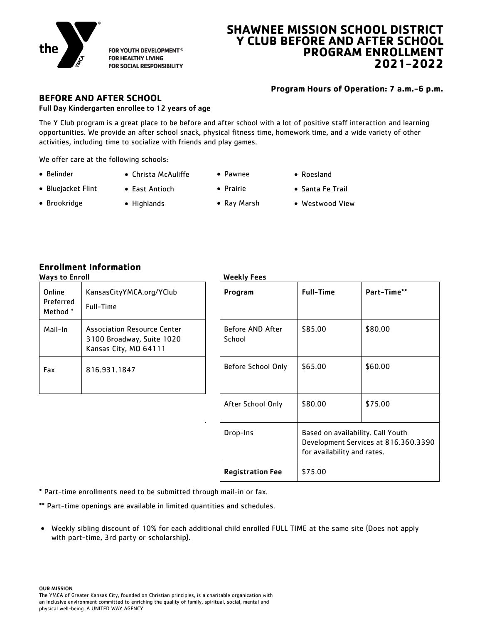

FOR YOUTH DEVELOPMENT® **FOR HEALTHY LIVING** FOR SOCIAL RESPONSIBILITY

# **SHAWNEE MISSION SCHOOL DISTRICT Y CLUB BEFORE AND AFTER SCHOOL PROGRAM ENROLLMENT 2021-2022**

# **Program Hours of Operation: 7 a.m.-6 p.m.**

# **BEFORE AND AFTER SCHOOL**

### Full Day Kindergarten enrollee to 12 years of age

The Y Club program is a great place to be before and after school with a lot of positive staff interaction and learning opportunities. We provide an after school snack, physical fitness time, homework time, and a wide variety of other activities, including time to socialize with friends and play games.

We offer care at the following schools:

- Belinder
- 
- Pawnee
- Roesland
- Bluejacket Flint
- East Antioch
- Prairie
- Ray Marsh
- Santa Fe Trail Westwood View
- Brookridge
- Highlands

Christa McAuliffe

**Enrollment Information**

| Online<br>Preferred<br>Method * | KansasCityYMCA.org/YClub<br>Full-Time                                             |  |
|---------------------------------|-----------------------------------------------------------------------------------|--|
| Mail-In                         | Association Resource Center<br>3100 Broadway, Suite 1020<br>Kansas City, MO 64111 |  |
| Fax                             | 816.931.1847                                                                      |  |

# Weekly Fees

| . . <i>, .</i>                  |                                                                                          |                            |                                                                  |                                      |
|---------------------------------|------------------------------------------------------------------------------------------|----------------------------|------------------------------------------------------------------|--------------------------------------|
| Online<br>Preferred<br>Method * | KansasCityYMCA.org/YClub<br>Full-Time                                                    | Program                    | <b>Full-Time</b>                                                 | Part-Time**                          |
| Mail-In                         | <b>Association Resource Center</b><br>3100 Broadway, Suite 1020<br>Kansas City, MO 64111 | Before AND After<br>School | \$85.00                                                          | \$80.00                              |
| Fax                             | 816.931.1847                                                                             | Before School Only         | \$65.00                                                          | \$60.00                              |
|                                 |                                                                                          | After School Only          | \$80.00                                                          | \$75.00                              |
|                                 |                                                                                          | Drop-Ins                   | Based on availability. Call Youth<br>for availability and rates. | Development Services at 816.360.3390 |
|                                 |                                                                                          | <b>Registration Fee</b>    | \$75.00                                                          |                                      |

\* Part-time enrollments need to be submitted through mail-in or fax.

\*\* Part-time openings are available in limited quantities and schedules.

• Weekly sibling discount of 10% for each additional child enrolled FULL TIME at the same site (Does not apply with part-time, 3rd party or scholarship).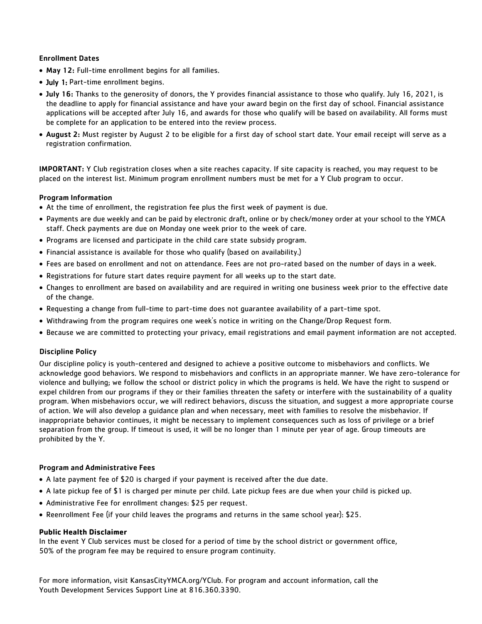### Enrollment Dates

- May 12: Full-time enrollment begins for all families.
- July 1: Part-time enrollment begins.
- July 16: Thanks to the generosity of donors, the Y provides financial assistance to those who qualify. July 16, 2021, is the deadline to apply for financial assistance and have your award begin on the first day of school. Financial assistance applications will be accepted after July 16, and awards for those who qualify will be based on availability. All forms must be complete for an application to be entered into the review process.
- August 2: Must register by August 2 to be eligible for a first day of school start date. Your email receipt will serve as a registration confirmation.

IMPORTANT: Y Club registration closes when a site reaches capacity. If site capacity is reached, you may request to be placed on the interest list. Minimum program enrollment numbers must be met for a Y Club program to occur.

### Program Information

- At the time of enrollment, the registration fee plus the first week of payment is due.
- Payments are due weekly and can be paid by electronic draft, online or by check/money order at your school to the YMCA staff. Check payments are due on Monday one week prior to the week of care.
- Programs are licensed and participate in the child care state subsidy program.
- Financial assistance is available for those who qualify (based on availability.)
- Fees are based on enrollment and not on attendance. Fees are not pro-rated based on the number of days in a week.
- Registrations for future start dates require payment for all weeks up to the start date.
- Changes to enrollment are based on availability and are required in writing one business week prior to the effective date of the change.
- Requesting a change from full-time to part-time does not guarantee availability of a part-time spot.
- Withdrawing from the program requires one week's notice in writing on the Change/Drop Request form.
- Because we are committed to protecting your privacy, email registrations and email payment information are not accepted.

### Discipline Policy

Our discipline policy is youth-centered and designed to achieve a positive outcome to misbehaviors and conflicts. We acknowledge good behaviors. We respond to misbehaviors and conflicts in an appropriate manner. We have zero-tolerance for violence and bullying; we follow the school or district policy in which the programs is held. We have the right to suspend or expel children from our programs if they or their families threaten the safety or interfere with the sustainability of a quality program. When misbehaviors occur, we will redirect behaviors, discuss the situation, and suggest a more appropriate course of action. We will also develop a guidance plan and when necessary, meet with families to resolve the misbehavior. If inappropriate behavior continues, it might be necessary to implement consequences such as loss of privilege or a brief separation from the group. If timeout is used, it will be no longer than 1 minute per year of age. Group timeouts are prohibited by the Y.

### Program and Administrative Fees

- A late payment fee of \$20 is charged if your payment is received after the due date.
- A late pickup fee of \$1 is charged per minute per child. Late pickup fees are due when your child is picked up.
- Administrative Fee for enrollment changes: \$25 per request.
- Reenrollment Fee (if your child leaves the programs and returns in the same school year): \$25.

#### **Public Health Disclaimer**

In the event Y Club services must be closed for a period of time by the school district or government office, 50% of the program fee may be required to ensure program continuity.

For more information, visit KansasCityYMCA.org/YClub. For program and account information, call the Youth Development Services Support Line at 816.360.3390.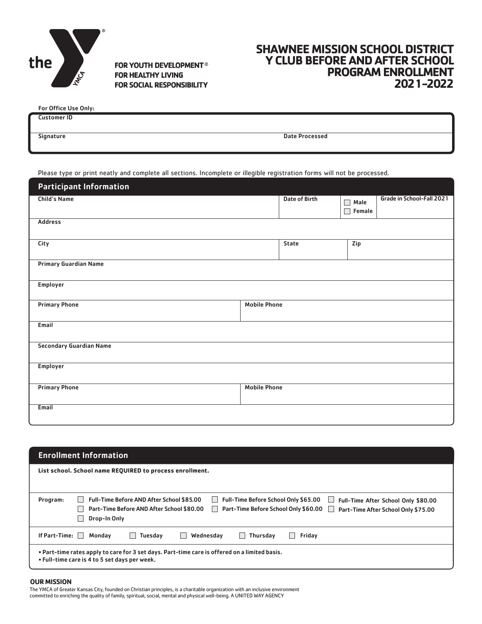

FOR YOUTH DEVELOPMENT® **FOR HEALTHY LIVING FOR SOCIAL RESPONSIBILITY** 

# **SHAWNEE MISSION SCHOOL DISTRICT Y CLUB BEFORE AND AFTER SCHOOL PROGRAM ENROLLMENT 2021-2022**

| <b>For Office Use Only:</b> |                       |  |
|-----------------------------|-----------------------|--|
| <b>Customer ID</b>          |                       |  |
|                             |                       |  |
| Signature                   | <b>Date Processed</b> |  |
|                             |                       |  |

Please type or print neatly and complete all sections. Incomplete or illegible registration forms will not be processed.

| <b>Participant Information</b> |                     |               |                            |                           |
|--------------------------------|---------------------|---------------|----------------------------|---------------------------|
| <b>Child's Name</b>            |                     | Date of Birth | Male<br>П<br>$\Box$ Female | Grade in School-Fall 2021 |
| <b>Address</b>                 |                     |               |                            |                           |
| City                           |                     | State         | Zip                        |                           |
| <b>Primary Guardian Name</b>   |                     |               |                            |                           |
| Employer                       |                     |               |                            |                           |
| <b>Primary Phone</b>           | <b>Mobile Phone</b> |               |                            |                           |
| Email                          |                     |               |                            |                           |
| <b>Secondary Guardian Name</b> |                     |               |                            |                           |
| Employer                       |                     |               |                            |                           |
| <b>Primary Phone</b>           | <b>Mobile Phone</b> |               |                            |                           |
| Email                          |                     |               |                            |                           |

| <b>Enrollment Information</b> |                                                                                                                                                                                                                                                             |  |  |
|-------------------------------|-------------------------------------------------------------------------------------------------------------------------------------------------------------------------------------------------------------------------------------------------------------|--|--|
|                               | List school. School name REQUIRED to process enrollment.                                                                                                                                                                                                    |  |  |
|                               |                                                                                                                                                                                                                                                             |  |  |
| Program:                      | <b>Full-Time Before School Only \$65.00</b><br>Full-Time Before AND After School \$85.00<br>Full-Time After School Only \$80.00<br>Part-Time Before School Only \$60.00<br>Part-Time Before AND After School \$80.00<br>Part-Time After School Only \$75.00 |  |  |
|                               | Drop-In Only                                                                                                                                                                                                                                                |  |  |
| If Part-Time: $\Box$          | Monday<br>Wednesdav<br>Thursday<br>Friday<br>Tuesday<br>$\Box$<br>$\mathbf{I}$                                                                                                                                                                              |  |  |
|                               | . Part-time rates apply to care for 3 set days. Part-time care is offered on a limited basis.<br>• Full-time care is 4 to 5 set days per week.                                                                                                              |  |  |

#### **OUR MISSION**

The YMCA of Greater Kansas City, founded on Christian principles, is a charitable organization with an inclusive environment committed to enriching the quality of family, spiritual, social, mental and physical well-being. A UNITED WAY AGENCY